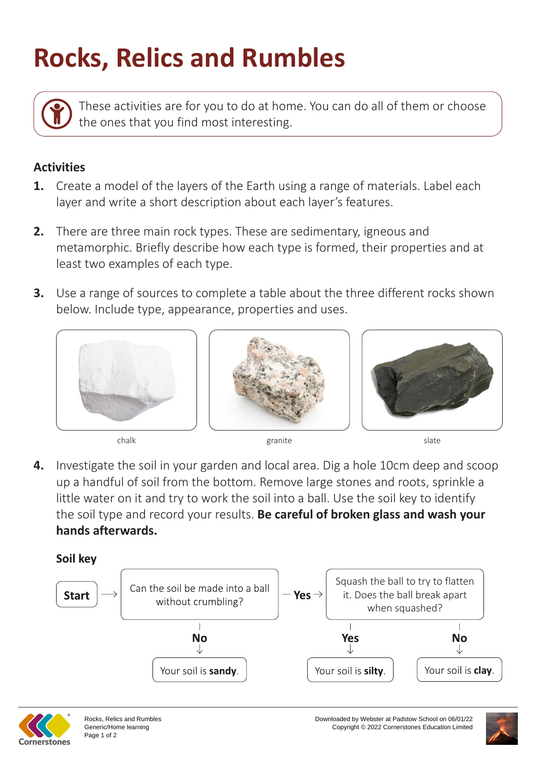## **Rocks, Relics and Rumbles**

These activities are for you to do at home. You can do all of them or choose the ones that you find most interesting.

## **Activities**

- **1.** Create a model of the layers of the Earth using a range of materials. Label each layer and write a short description about each layer's features.
- **2.** There are three main rock types. These are sedimentary, igneous and metamorphic. Briefly describe how each type is formed, their properties and at least two examples of each type.
- **3.** Use a range of sources to complete a table about the three different rocks shown below. Include type, appearance, properties and uses.







chalk slate slate slate slate slate slate slate slate slate slate slate

**4.** Investigate the soil in your garden and local area. Dig a hole 10cm deep and scoop up a handful of soil from the bottom. Remove large stones and roots, sprinkle a little water on it and try to work the soil into a ball. Use the soil key to identify the soil type and record your results. **Be careful of broken glass and wash your hands afterwards.**